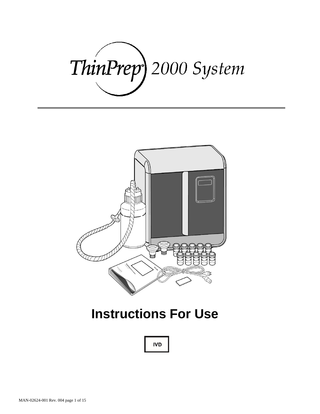# ThinPrep) 2000 System



# **Instructions For Use**

**IVD**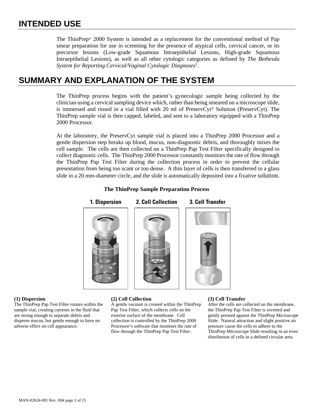The ThinPrep® 2000 System is intended as a replacement for the conventional method of Pap smear preparation for use in screening for the presence of atypical cells, cervical cancer, or its precursor lesions (Low-grade Squamous Intraepithelial Lesions, High-grade Squamous Intraepithelial Lesions), as well as all other cytologic categories as defined by *The Bethesda*  System for Reporting Cervical/Vaginal Cytologic Diagnoses<sup>1</sup>.

### **SUMMARY AND EXPLANATION OF THE SYSTEM**

The ThinPrep process begins with the patient's gynecologic sample being collected by the clinician using a cervical sampling device which, rather than being smeared on a microscope slide, is immersed and rinsed in a vial filled with 20 ml of PreservCyt® Solution (PreservCyt). The ThinPrep sample vial is then capped, labeled, and sent to a laboratory equipped with a ThinPrep 2000 Processor.

At the laboratory, the PreservCyt sample vial is placed into a ThinPrep 2000 Processor and a gentle dispersion step breaks up blood, mucus, non-diagnostic debris, and thoroughly mixes the cell sample. The cells are then collected on a ThinPrep Pap Test Filter specifically designed to collect diagnostic cells. The ThinPrep 2000 Processor constantly monitors the rate of flow through the ThinPrep Pap Test Filter during the collection process in order to prevent the cellular presentation from being too scant or too dense. A thin layer of cells is then transferred to a glass slide in a 20 mm-diameter circle, and the slide is automatically deposited into a fixative solution.



### **The ThinPrep Sample Preparation Process**

The ThinPrep Pap Test Filter rotates within the sample vial, creating currents in the fluid that are strong enough to separate debris and disperse mucus, but gentle enough to have no adverse effect on cell appearance.

### **(1) Dispersion (2) Cell Collection (3) Cell Transfer**

A gentle vacuum is created within the ThinPrep Pap Test Filter, which collects cells on the exterior surface of the membrane. Cell collection is controlled by the ThinPrep 2000 Processor's software that monitors the rate of flow through the ThinPrep Pap Test Filter.

After the cells are collected on the membrane, the ThinPrep Pap Test Filter is inverted and gently pressed against the ThinPrep Microscope Slide. Natural attraction and slight positive air pressure cause the cells to adhere to the ThinPrep Microscope Slide resulting in an even distribution of cells in a defined circular area.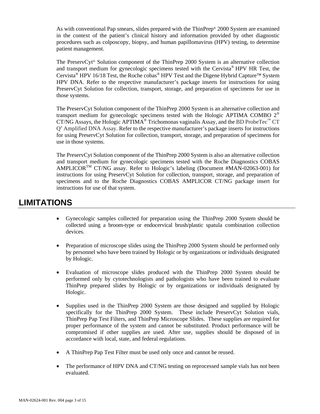As with conventional Pap smears, slides prepared with the ThinPrep® 2000 System are examined in the context of the patient's clinical history and information provided by other diagnostic procedures such as colposcopy, biopsy, and human papillomavirus (HPV) testing, to determine patient management.

The PreservCyt® Solution component of the ThinPrep 2000 System is an alternative collection and transport medium for gynecologic specimens tested with the Cervista® HPV HR Test, the Cervista<sup>®</sup> HPV 16/18 Test, the Roche cobas<sup>®</sup> HPV Test and the Digene Hybrid Capture<sup>™</sup> System HPV DNA. Refer to the respective manufacturer's package inserts for instructions for using PreservCyt Solution for collection, transport, storage, and preparation of specimens for use in those systems.

The PreservCyt Solution component of the ThinPrep 2000 System is an alternative collection and transport medium for gynecologic specimens tested with the Hologic APTIMA COMBO 2® CT/NG Assays, the Hologic APTIMA<sup>®</sup> Trichomonas vaginalis Assay, and the BD ProbeTec<sup>™</sup> CT Q*<sup>x</sup>* Amplified DNA Assay. Refer to the respective manufacturer's package inserts for instructions for using PreservCyt Solution for collection, transport, storage, and preparation of specimens for use in those systems.

The PreservCyt Solution component of the ThinPrep 2000 System is also an alternative collection and transport medium for gynecologic specimens tested with the Roche Diagnostics COBAS AMPLICORTM CT/NG assay. Refer to Hologic's labeling (Document #MAN-02063-001) for instructions for using PreservCyt Solution for collection, transport, storage, and preparation of specimens and to the Roche Diagnostics COBAS AMPLICOR CT/NG package insert for instructions for use of that system.

### **LIMITATIONS**

- Gynecologic samples collected for preparation using the ThinPrep 2000 System should be collected using a broom-type or endocervical brush/plastic spatula combination collection devices.
- Preparation of microscope slides using the ThinPrep 2000 System should be performed only by personnel who have been trained by Hologic or by organizations or individuals designated by Hologic.
- Evaluation of microscope slides produced with the ThinPrep 2000 System should be performed only by cytotechnologists and pathologists who have been trained to evaluate ThinPrep prepared slides by Hologic or by organizations or individuals designated by Hologic.
- Supplies used in the ThinPrep 2000 System are those designed and supplied by Hologic specifically for the ThinPrep 2000 System. These include PreservCyt Solution vials, ThinPrep Pap Test Filters, and ThinPrep Microscope Slides. These supplies are required for proper performance of the system and cannot be substituted. Product performance will be compromised if other supplies are used. After use, supplies should be disposed of in accordance with local, state, and federal regulations.
- A ThinPrep Pap Test Filter must be used only once and cannot be reused.
- The performance of HPV DNA and CT/NG testing on reprocessed sample vials has not been evaluated.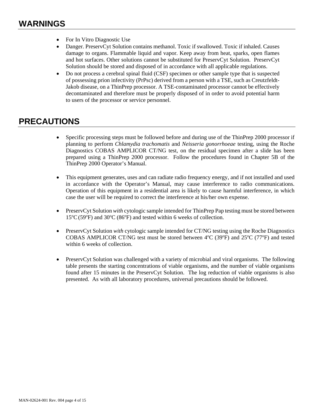- For In Vitro Diagnostic Use
- Danger. PreservCyt Solution contains methanol. Toxic if swallowed. Toxic if inhaled. Causes damage to organs. Flammable liquid and vapor. Keep away from heat, sparks, open flames and hot surfaces. Other solutions cannot be substituted for PreservCyt Solution. PreservCyt Solution should be stored and disposed of in accordance with all applicable regulations.
- Do not process a cerebral spinal fluid (CSF) specimen or other sample type that is suspected of possessing prion infectivity (PrPsc) derived from a person with a TSE, such as Creutzfeldt-Jakob disease, on a ThinPrep processor. A TSE-contaminated processor cannot be effectively decontaminated and therefore must be properly disposed of in order to avoid potential harm to users of the processor or service personnel.

## **PRECAUTIONS**

- Specific processing steps must be followed before and during use of the ThinPrep 2000 processor if planning to perform *Chlamydia trachomatis* and *Neisseria gonorrhoeae* testing, using the Roche Diagnostics COBAS AMPLICOR CT/NG test, on the residual specimen after a slide has been prepared using a ThinPrep 2000 processor. Follow the procedures found in Chapter 5B of the ThinPrep 2000 Operator's Manual.
- This equipment generates, uses and can radiate radio frequency energy, and if not installed and used in accordance with the Operator's Manual, may cause interference to radio communications. Operation of this equipment in a residential area is likely to cause harmful interference, in which case the user will be required to correct the interference at his/her own expense.
- PreservCyt Solution *with* cytologic sample intended for ThinPrep Pap testing must be stored between 15°C (59°F) and 30°C (86°F) and tested within 6 weeks of collection.
- PreservCyt Solution *with* cytologic sample intended for CT/NG testing using the Roche Diagnostics COBAS AMPLICOR CT/NG test must be stored between  $4^{\circ}$ C (39 $^{\circ}$ F) and 25 $^{\circ}$ C (77 $^{\circ}$ F) and tested within 6 weeks of collection.
- PreservCyt Solution was challenged with a variety of microbial and viral organisms. The following table presents the starting concentrations of viable organisms, and the number of viable organisms found after 15 minutes in the PreservCyt Solution. The log reduction of viable organisms is also presented. As with all laboratory procedures, universal precautions should be followed.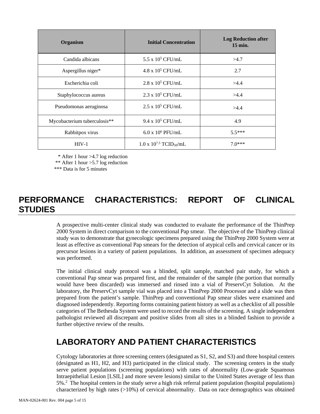| Organism                     | <b>Initial Concentration</b>                 | <b>Log Reduction after</b><br>$15 \text{ min.}$ |
|------------------------------|----------------------------------------------|-------------------------------------------------|
| Candida albicans             | $5.5 \times 10^5$ CFU/mL                     | >4.7                                            |
| Aspergillus niger*           | $4.8 \times 10^5$ CFU/mL                     | 2.7                                             |
| Escherichia coli             | $2.8 \times 10^5$ CFU/mL                     | >4.4                                            |
| Staphylococcus aureus        | $2.3 \times 10^5$ CFU/mL                     | >4.4                                            |
| Pseudomonas aeruginosa       | $2.5 \times 10^5$ CFU/mL                     | >4.4                                            |
| Mycobacterium tuberculosis** | $9.4 \times 10^5$ CFU/mL                     | 4.9                                             |
| Rabbitpox virus              | $6.0 \times 10^6$ PFU/mL                     | $5.5***$                                        |
| $HIV-1$                      | $1.0 \times 10^{7.5}$ TCID <sub>50</sub> /mL | $70***$                                         |

\* After 1 hour >4.7 log reduction

\*\* After 1 hour >5.7 log reduction

\*\*\* Data is for 5 minutes

# **PERFORMANCE CHARACTERISTICS: REPORT OF CLINICAL STUDIES**

A prospective multi-center clinical study was conducted to evaluate the performance of the ThinPrep 2000 System in direct comparison to the conventional Pap smear. The objective of the ThinPrep clinical study was to demonstrate that gynecologic specimens prepared using the ThinPrep 2000 System were at least as effective as conventional Pap smears for the detection of atypical cells and cervical cancer or its precursor lesions in a variety of patient populations. In addition, an assessment of specimen adequacy was performed.

The initial clinical study protocol was a blinded, split sample, matched pair study, for which a conventional Pap smear was prepared first, and the remainder of the sample (the portion that normally would have been discarded) was immersed and rinsed into a vial of PreservCyt Solution. At the laboratory, the PreservCyt sample vial was placed into a ThinPrep 2000 Processor and a slide was then prepared from the patient's sample. ThinPrep and conventional Pap smear slides were examined and diagnosed independently. Reporting forms containing patient history as well as a checklist of all possible categories of The Bethesda System were used to record the results of the screening. A single independent pathologist reviewed all discrepant and positive slides from all sites in a blinded fashion to provide a further objective review of the results.

## **LABORATORY AND PATIENT CHARACTERISTICS**

Cytology laboratories at three screening centers (designated as S1, S2, and S3) and three hospital centers (designated as H1, H2, and H3) participated in the clinical study. The screening centers in the study serve patient populations (screening populations) with rates of abnormality (Low-grade Squamous Intraepithelial Lesion [LSIL] and more severe lesions) similar to the United States average of less than 5%.<sup>2</sup> The hospital centers in the study serve a high risk referral patient population (hospital populations) characterized by high rates  $(>10%)$  of cervical abnormality. Data on race demographics was obtained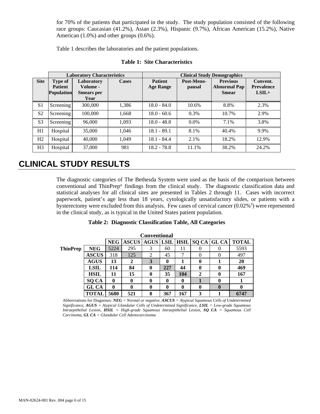for 70% of the patients that participated in the study. The study population consisted of the following race groups: Caucasian (41.2%), Asian (2.3%), Hispanic (9.7%), African American (15.2%), Native American (1.0%) and other groups (0.6%).

Table 1 describes the laboratories and the patient populations.

|                |                                                | <b>Laboratory Characteristics</b>                   |              | <b>Clinical Study Demographics</b> |                      |                                                        |                                          |  |
|----------------|------------------------------------------------|-----------------------------------------------------|--------------|------------------------------------|----------------------|--------------------------------------------------------|------------------------------------------|--|
| <b>Site</b>    | Type of<br><b>Patient</b><br><b>Population</b> | Laboratory<br>Volume -<br><b>Smears</b> per<br>Year | <b>Cases</b> | <b>Patient</b><br><b>Age Range</b> | Post-Meno-<br>pausal | <b>Previous</b><br><b>Abnormal Pap</b><br><b>Smear</b> | Convent.<br><b>Prevalence</b><br>$LSIL+$ |  |
| S <sub>1</sub> | Screening                                      | 300,000                                             | 1,386        | $18.0 - 84.0$                      | 10.6%                | 8.8%                                                   | 2.3%                                     |  |
| S <sub>2</sub> | Screening                                      | 100,000                                             | 1,668        | $18.0 - 60.6$                      | 0.3%                 | 10.7%                                                  | 2.9%                                     |  |
| S <sub>3</sub> | Screening                                      | 96,000                                              | 1,093        | $18.0 - 48.8$                      | $0.0\%$              | 7.1%                                                   | 3.8%                                     |  |
| H1             | Hospital                                       | 35,000                                              | 1,046        | $18.1 - 89.1$                      | 8.1%                 | 40.4%                                                  | 9.9%                                     |  |
| H <sub>2</sub> | Hospital                                       | 40,000                                              | 1,049        | $18.1 - 84.4$                      | 2.1%                 | 18.2%                                                  | 12.9%                                    |  |
| H <sub>3</sub> | Hospital                                       | 37,000                                              | 981          | $18.2 - 78.8$                      | 11.1%                | 38.2%                                                  | 24.2%                                    |  |

### **Table 1: Site Characteristics**

### **CLINICAL STUDY RESULTS**

The diagnostic categories of The Bethesda System were used as the basis of the comparison between conventional and ThinPrep® findings from the clinical study. The diagnostic classification data and statistical analyses for all clinical sites are presented in Tables 2 through 11. Cases with incorrect paperwork, patient's age less than 18 years, cytologically unsatisfactory slides, or patients with a hysterectomy were excluded from this analysis. Few cases of cervical cancer  $(0.02\%)$  were represented in the clinical study, as is typical in the United States patient population.

### **Table 2: Diagnostic Classification Table, All Categories**

|                 | <b>Conventional</b> |            |              |                |     |     |              |                                  |              |
|-----------------|---------------------|------------|--------------|----------------|-----|-----|--------------|----------------------------------|--------------|
|                 |                     | <b>NEG</b> | <b>ASCUS</b> |                |     |     |              | AGUS LSIL   HSIL   SQ CA   GL CA | <b>TOTAL</b> |
| <b>ThinPrep</b> | <b>NEG</b>          | 5224       | 295          | 3              | 60  | 11  |              |                                  | 5593         |
|                 | <b>ASCUS</b>        | 318        | 125          | $\mathfrak{D}$ | 45  |     |              |                                  | 497          |
|                 | <b>AGUS</b>         | 13         | $\mathbf{2}$ | 3              | 0   |     | 0            |                                  | 20           |
|                 | <b>LSIL</b>         | 114        | 84           |                | 227 | 44  | 0            | 0                                | 469          |
|                 | HSIL                | 11         | 15           | 0              | 35  | 104 | $\mathbf{2}$ | 0                                | 167          |
|                 | SQ CA               | 0          | 0            |                | 0   | 0   |              |                                  |              |
|                 | GL CA               | 0          | 0            |                | 0   | 0   | 0            | $\bf{0}$                         | 0            |
|                 | <b>TOTAL</b>        | 5680       | 521          | 8              | 367 | 167 | 3            |                                  | 6747         |

Abbreviations for Diagnoses*: NEG = Normal or negative, ASCUS = Atypical Squamous Cells of Undetermined Significance, AGUS = Atypical Glandular Cells of Undetermined Significance, LSIL = Low-grade Squamous Intraepithelial Lesion, HSIL = High-grade Squamous Intraepithelial Lesion, SQ CA = Squamous Cell Carcinoma, GL CA = Glandular Cell Adenocarcinoma*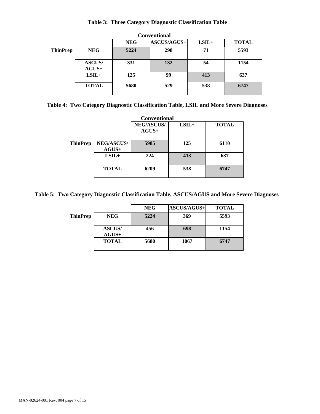### **Table 3: Three Category Diagnostic Classification Table**

|                 |                          |            | <b>Conventional</b> |         |              |
|-----------------|--------------------------|------------|---------------------|---------|--------------|
|                 |                          | <b>NEG</b> | <b>ASCUS/AGUS+</b>  | $LSIL+$ | <b>TOTAL</b> |
| <b>ThinPrep</b> | <b>NEG</b>               | 5224       | 298                 | 71      | 5593         |
|                 | <b>ASCUS/</b><br>$AGUS+$ | 331        | 132                 | 54      | 1154         |
|                 | $LSIL+$                  | 125        | 99                  | 413     | 637          |
|                 | <b>TOTAL</b>             | 5680       | 529                 | 538     | 6747         |

|  |  |  | Table 4: Two Category Diagnostic Classification Table, LSIL and More Severe Diagnoses |
|--|--|--|---------------------------------------------------------------------------------------|
|  |  |  |                                                                                       |

|                 |                              | Conventional                 |         |              |
|-----------------|------------------------------|------------------------------|---------|--------------|
|                 |                              | <b>NEG/ASCUS/</b><br>$AGUS+$ | $LSIL+$ | <b>TOTAL</b> |
| <b>ThinPrep</b> | <b>NEG/ASCUS/</b><br>$AGUS+$ | 5985                         | 125     | 6110         |
|                 | $LSIL+$                      | 224                          | 413     | 637          |
|                 | <b>TOTAL</b>                 | 6209                         | 538     | 6747         |

### **Table 5: Two Category Diagnostic Classification Table, ASCUS/AGUS and More Severe Diagnoses**

|                 |                          | <b>NEG</b> | <b>ASCUS/AGUS+</b> | <b>TOTAL</b> |
|-----------------|--------------------------|------------|--------------------|--------------|
| <b>ThinPrep</b> | <b>NEG</b>               | 5224       | 369                | 5593         |
|                 | <b>ASCUS/</b><br>$AGUS+$ | 456        | 698                | 1154         |
|                 | <b>TOTAL</b>             | 5680       | 1067               | 6747         |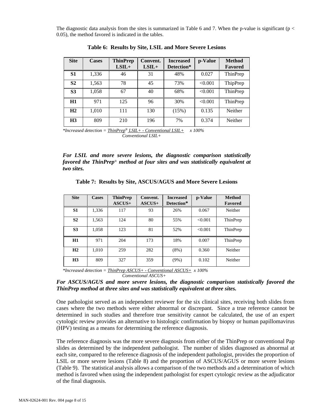The diagnostic data analysis from the sites is summarized in Table 6 and 7. When the p-value is significant ( $p <$ 0.05), the method favored is indicated in the tables.

| <b>Site</b>    | <b>Cases</b> | <b>ThinPrep</b><br>$LSIL+$ | Convent.<br>$LSIL+$ | <b>Increased</b><br>Detection* | p-Value | <b>Method</b><br><b>Favored</b> |
|----------------|--------------|----------------------------|---------------------|--------------------------------|---------|---------------------------------|
| S1             | 1,336        | 46                         | 31                  | 48%                            | 0.027   | ThinPrep                        |
| S <sub>2</sub> | 1,563        | 78                         | 45                  | 73%                            | < 0.001 | ThipPrep                        |
| <b>S3</b>      | 1,058        | 67                         | 40                  | 68%                            | < 0.001 | ThinPrep                        |
| H1             | 971          | 125                        | 96                  | 30%                            | < 0.001 | ThinPrep                        |
| H2             | 1,010        | 111                        | 130                 | (15%)                          | 0.135   | Neither                         |
| H <sub>3</sub> | 809          | 210                        | 196                 | 7%                             | 0.374   | Neither                         |

**Table 6: Results by Site, LSIL and More Severe Lesions** 

*\*Increased detection = ThinPrep*® *LSIL+ - Conventional LSIL+ x 100% Conventional LSIL+*

*For LSIL and more severe lesions, the diagnostic comparison statistically favored the ThinPrep*® *method at four sites and was statistically equivalent at two sites.*

|  |  |  | Table 7: Results by Site, ASCUS/AGUS and More Severe Lesions |  |
|--|--|--|--------------------------------------------------------------|--|
|--|--|--|--------------------------------------------------------------|--|

| <b>Site</b>    | Cases | <b>ThinPrep</b><br>ASCUS+ | Convent.<br>$ASCUS+$ | <b>Increased</b><br>Detection* | p-Value | <b>Method</b><br>Favored |
|----------------|-------|---------------------------|----------------------|--------------------------------|---------|--------------------------|
| S <sub>1</sub> | 1,336 | 117                       | 93                   | 26%                            | 0.067   | Neither                  |
| S <sub>2</sub> | 1,563 | 124                       | 80                   | 55%                            | < 0.001 | ThinPrep                 |
| S <sub>3</sub> | 1,058 | 123                       | 81                   | 52%                            | < 0.001 | ThinPrep                 |
| H1             | 971   | 204                       | 173                  | 18%                            | 0.007   | ThinPrep                 |
| H2             | 1,010 | 259                       | 282                  | $(8\%)$                        | 0.360   | Neither                  |
| H <sub>3</sub> | 809   | 327                       | 359                  | (9%)                           | 0.102   | Neither                  |

*\*Increased detection = ThinPrep ASCUS+ - Conventional ASCUS+ x 100% Conventional ASCUS+*

*For ASCUS/AGUS and more severe lesions, the diagnostic comparison statistically favored the ThinPrep method at three sites and was statistically equivalent at three sites.*

One pathologist served as an independent reviewer for the six clinical sites, receiving both slides from cases where the two methods were either abnormal or discrepant. Since a true reference cannot be determined in such studies and therefore true sensitivity cannot be calculated, the use of an expert cytologic review provides an alternative to histologic confirmation by biopsy or human papillomavirus (HPV) testing as a means for determining the reference diagnosis.

The reference diagnosis was the more severe diagnosis from either of the ThinPrep or conventional Pap slides as determined by the independent pathologist. The number of slides diagnosed as abnormal at each site, compared to the reference diagnosis of the independent pathologist, provides the proportion of LSIL or more severe lesions (Table 8) and the proportion of ASCUS/AGUS or more severe lesions (Table 9). The statistical analysis allows a comparison of the two methods and a determination of which method is favored when using the independent pathologist for expert cytologic review as the adjudicator of the final diagnosis.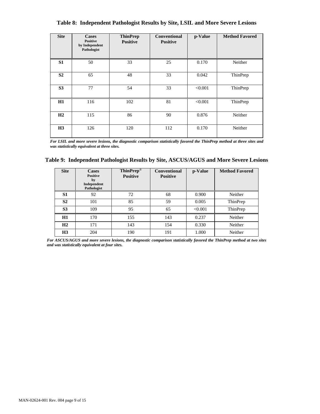| <b>Site</b>    | Cases<br><b>Positive</b><br>by Independent<br>Pathologist | <b>ThinPrep</b><br><b>Positive</b> | <b>Conventional</b><br><b>Positive</b> | p-Value | <b>Method Favored</b> |
|----------------|-----------------------------------------------------------|------------------------------------|----------------------------------------|---------|-----------------------|
| S1             | 50                                                        | 33                                 | 25                                     | 0.170   | Neither               |
| S <sub>2</sub> | 65                                                        | 48                                 | 33                                     | 0.042   | ThinPrep              |
| S <sub>3</sub> | 77                                                        | 54                                 | 33                                     | < 0.001 | ThinPrep              |
| H1             | 116                                                       | 102                                | 81                                     | < 0.001 | ThinPrep              |
| H2             | 115                                                       | 86                                 | 90                                     | 0.876   | Neither               |
| H <sub>3</sub> | 126                                                       | 120                                | 112                                    | 0.170   | Neither               |

**Table 8: Independent Pathologist Results by Site, LSIL and More Severe Lesions**

*For LSIL and more severe lesions, the diagnostic comparison statistically favored the ThinPrep method at three sites and was statistically equivalent at three sites.* 

|  | Table 9: Independent Pathologist Results by Site, ASCUS/AGUS and More Severe Lesions |  |  |  |  |  |  |  |  |
|--|--------------------------------------------------------------------------------------|--|--|--|--|--|--|--|--|
|--|--------------------------------------------------------------------------------------|--|--|--|--|--|--|--|--|

| <b>Site</b>    | <b>Cases</b><br><b>Positive</b><br>by<br>Independent<br>Pathologist | ThinPrep®<br><b>Positive</b> | <b>Conventional</b><br><b>Positive</b> | p-Value | <b>Method Favored</b> |
|----------------|---------------------------------------------------------------------|------------------------------|----------------------------------------|---------|-----------------------|
| S1             | 92                                                                  | 72                           | 68                                     | 0.900   | Neither               |
| S <sub>2</sub> | 101                                                                 | 85                           | 59                                     | 0.005   | ThinPrep              |
| S <sub>3</sub> | 109                                                                 | 95                           | 65                                     | < 0.001 | ThinPrep              |
| H1             | 170                                                                 | 155                          | 143                                    | 0.237   | Neither               |
| H2             | 171                                                                 | 143                          | 154                                    | 0.330   | Neither               |
| H <sub>3</sub> | 204                                                                 | 190                          | 191                                    | 1.000   | Neither               |

*For ASCUS/AGUS and more severe lesions, the diagnostic comparison statistically favored the ThinPrep method at two sites and was statistically equivalent at four sites.*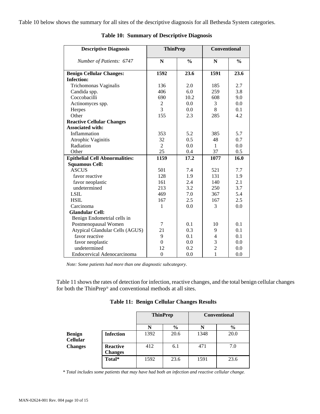Table 10 below shows the summary for all sites of the descriptive diagnosis for all Bethesda System categories.

| <b>Descriptive Diagnosis</b>          | <b>ThinPrep</b> |               | <b>Conventional</b> |               |
|---------------------------------------|-----------------|---------------|---------------------|---------------|
|                                       |                 |               |                     |               |
| Number of Patients: 6747              | N               | $\frac{0}{0}$ | N                   | $\frac{0}{0}$ |
| <b>Benign Cellular Changes:</b>       | 1592            | 23.6          | 1591                | 23.6          |
| <b>Infection:</b>                     |                 |               |                     |               |
| Trichomonas Vaginalis                 | 136             | 2.0           | 185                 | 2.7           |
| Candida spp.                          | 406             | 6.0           | 259                 | 3.8           |
| Coccobacilli                          | 690             | 10.2          | 608                 | 9.0           |
| Actinomyces spp.                      | $\overline{2}$  | 0.0           | 3                   | 0.0           |
| Herpes                                | $\overline{3}$  | 0.0           | 8                   | 0.1           |
| Other                                 | 155             | 2.3           | 285                 | 4.2           |
| <b>Reactive Cellular Changes</b>      |                 |               |                     |               |
| <b>Associated with:</b>               |                 |               |                     |               |
| Inflammation                          | 353             | 5.2           | 385                 | 5.7           |
| Atrophic Vaginitis                    | 32              | 0.5           | 48                  | 0.7           |
| Radiation                             | $\overline{2}$  | 0.0           | $\mathbf{1}$        | 0.0           |
| Other                                 | 25              | 0.4           | 37                  | 0.5           |
| <b>Epithelial Cell Abnormalities:</b> | 1159            | 17.2          | 1077                | 16.0          |
| <b>Squamous Cell:</b>                 |                 |               |                     |               |
| <b>ASCUS</b>                          | 501             | 7.4           | 521                 | 7.7           |
| favor reactive                        | 128             | 1.9           | 131                 | 1.9           |
| favor neoplastic                      | 161             | 2.4           | 140                 | 2.1           |
| undetermined                          | 213             | 3.2           | 250                 | 3.7           |
| <b>LSIL</b>                           | 469             | 7.0           | 367                 | 5.4           |
| <b>HSIL</b>                           | 167             | 2.5           | 167                 | 2.5           |
| Carcinoma                             | 1               | 0.0           | 3                   | 0.0           |
| <b>Glandular Cell:</b>                |                 |               |                     |               |
| Benign Endometrial cells in           |                 |               |                     |               |
| Postmenopausal Women                  | 7               | 0.1           | 10                  | 0.1           |
| Atypical Glandular Cells (AGUS)       | 21              | 0.3           | 9                   | 0.1           |
| favor reactive                        | 9               | 0.1           | 4                   | 0.1           |
| favor neoplastic                      | $\theta$        | 0.0           | 3                   | 0.0           |
| undetermined                          | 12              | 0.2           | $\overline{2}$      | 0.0           |
| Endocervical Adenocarcinoma           | $\theta$        | 0.0           | 1                   | 0.0           |

### **Table 10: Summary of Descriptive Diagnosis**

*Note: Some patients had more than one diagnostic subcategory*.

Table 11 shows the rates of detection for infection, reactive changes, and the total benign cellular changes for both the ThinPrep® and conventional methods at all sites.

| <b>ThinPrep</b> | <b>Conventional</b> |
|-----------------|---------------------|

**Table 11: Benign Cellular Changes Results** 

|                                  |                            | <b>ThinPrep</b> |               | <b>Conventional</b> |               |
|----------------------------------|----------------------------|-----------------|---------------|---------------------|---------------|
|                                  |                            | N               | $\frac{6}{6}$ | N                   | $\frac{6}{9}$ |
| <b>Benign</b><br><b>Cellular</b> | <b>Infection</b>           | 1392            | 20.6          | 1348                | 20.0          |
| <b>Changes</b>                   | Reactive<br><b>Changes</b> | 412             | 6.1           | 471                 | 7.0           |
|                                  | Total*                     | 1592            | 23.6          | 1591                | 23.6          |

*\* Total includes some patients that may have had both an infection and reactive cellular change.*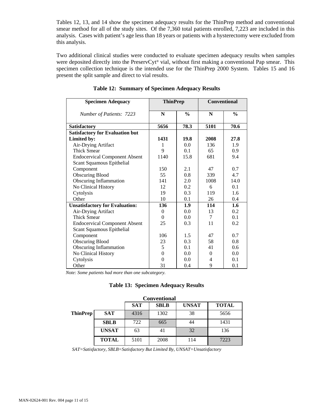Tables 12, 13, and 14 show the specimen adequacy results for the ThinPrep method and conventional smear method for all of the study sites. Of the 7,360 total patients enrolled, 7,223 are included in this analysis. Cases with patient's age less than 18 years or patients with a hysterectomy were excluded from this analysis.

Two additional clinical studies were conducted to evaluate specimen adequacy results when samples were deposited directly into the PreservCyt® vial, without first making a conventional Pap smear. This specimen collection technique is the intended use for the ThinPrep 2000 System. Tables 15 and 16 present the split sample and direct to vial results.

| <b>Specimen Adequacy</b>               | <b>ThinPrep</b> |               | <b>Conventional</b> |               |
|----------------------------------------|-----------------|---------------|---------------------|---------------|
| Number of Patients: 7223               | N               | $\frac{0}{0}$ | N                   | $\frac{0}{0}$ |
| <b>Satisfactory</b>                    | 5656            | 78.3          | 5101                | 70.6          |
| <b>Satisfactory for Evaluation but</b> |                 |               |                     |               |
| Limited by:                            | 1431            | 19.8          | 2008                | 27.8          |
| Air-Drying Artifact                    | 1               | 0.0           | 136                 | 1.9           |
| <b>Thick Smear</b>                     | 9               | 0.1           | 65                  | 0.9           |
| <b>Endocervical Component Absent</b>   | 1140            | 15.8          | 681                 | 9.4           |
| Scant Squamous Epithelial              |                 |               |                     |               |
| Component                              | 150             | 2.1           | 47                  | 0.7           |
| <b>Obscuring Blood</b>                 | 55              | 0.8           | 339                 | 4.7           |
| Obscuring Inflammation                 | 141             | 2.0           | 1008                | 14.0          |
| No Clinical History                    | 12              | 0.2           | 6                   | 0.1           |
| Cytolysis                              | 19              | 0.3           | 119                 | 1.6           |
| Other                                  | 10              | 0.1           | 26                  | 0.4           |
| <b>Unsatisfactory for Evaluation:</b>  | 136             | 1.9           | 114                 | 1.6           |
| Air-Drying Artifact                    | $\Omega$        | 0.0           | 13                  | 0.2           |
| <b>Thick Smear</b>                     | $\Omega$        | 0.0           | 7                   | 0.1           |
| <b>Endocervical Component Absent</b>   | 25              | 0.3           | 11                  | 0.2           |
| Scant Squamous Epithelial              |                 |               |                     |               |
| Component                              | 106             | 1.5           | 47                  | 0.7           |
| <b>Obscuring Blood</b>                 | 23              | 0.3           | 58                  | 0.8           |
| Obscuring Inflammation                 | 5               | 0.1           | 41                  | 0.6           |
| No Clinical History                    | $\theta$        | 0.0           | $\Omega$            | 0.0           |
| Cytolysis                              | $\theta$        | 0.0           | 4                   | 0.1           |
| Other                                  | 31              | 0.4           | 9                   | 0.1           |

|  |  | Table 12: Summary of Specimen Adequacy Results |  |  |
|--|--|------------------------------------------------|--|--|
|--|--|------------------------------------------------|--|--|

*Note: Some patients had more than one subcategory.*

|  | <b>Table 13: Specimen Adequacy Results</b> |  |  |
|--|--------------------------------------------|--|--|
|--|--------------------------------------------|--|--|

|                 |              | <b>Conventional</b> |             |              |              |  |
|-----------------|--------------|---------------------|-------------|--------------|--------------|--|
|                 |              | <b>SAT</b>          | <b>SBLB</b> | <b>UNSAT</b> | <b>TOTAL</b> |  |
| <b>ThinPrep</b> | <b>SAT</b>   | 4316                | 1302        | 38           | 5656         |  |
|                 | <b>SBLB</b>  | 722                 | 665         | 44           | 1431         |  |
|                 | <b>UNSAT</b> | 63                  | 41          | 32           | 136          |  |
|                 | <b>TOTAL</b> | 5101                | 2008        | 114          | 7223         |  |

*SAT=Satisfactory, SBLB=Satisfactory But Limited By, UNSAT=Unsatisfactory*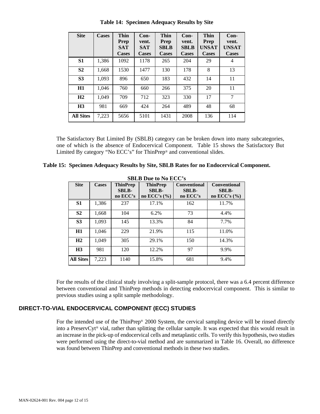| <b>Site</b>      | <b>Cases</b> | <b>Thin</b><br><b>Prep</b><br><b>SAT</b><br><b>Cases</b> | $Con-$<br>vent.<br><b>SAT</b><br><b>Cases</b> | <b>Thin</b><br><b>Prep</b><br><b>SBLB</b><br><b>Cases</b> | $Con-$<br>vent.<br><b>SBLB</b><br><b>Cases</b> | Thin<br><b>Prep</b><br><b>UNSAT</b><br><b>Cases</b> | $Con-$<br>vent.<br><b>UNSAT</b><br><b>Cases</b> |
|------------------|--------------|----------------------------------------------------------|-----------------------------------------------|-----------------------------------------------------------|------------------------------------------------|-----------------------------------------------------|-------------------------------------------------|
| S <sub>1</sub>   | 1,386        | 1092                                                     | 1178                                          | 265                                                       | 204                                            | 29                                                  | 4                                               |
| S <sub>2</sub>   | 1,668        | 1530                                                     | 1477                                          | 130                                                       | 178                                            | 8                                                   | 13                                              |
| S <sub>3</sub>   | 1,093        | 896                                                      | 650                                           | 183                                                       | 432                                            | 14                                                  | 11                                              |
| H1               | 1,046        | 760                                                      | 660                                           | 266                                                       | 375                                            | 20                                                  | 11                                              |
| H2               | 1.049        | 709                                                      | 712                                           | 323                                                       | 330                                            | 17                                                  | 7                                               |
| H <sub>3</sub>   | 981          | 669                                                      | 424                                           | 264                                                       | 489                                            | 48                                                  | 68                                              |
| <b>All Sites</b> | 7,223        | 5656                                                     | 5101                                          | 1431                                                      | 2008                                           | 136                                                 | 114                                             |

**Table 14: Specimen Adequacy Results by Site** 

The Satisfactory But Limited By (SBLB) category can be broken down into many subcategories, one of which is the absence of Endocervical Component. Table 15 shows the Satisfactory But Limited By category "No ECC's" for ThinPrep® and conventional slides.

|  | Table 15: Specimen Adequacy Results by Site, SBLB Rates for no Endocervical Component. |
|--|----------------------------------------------------------------------------------------|
|--|----------------------------------------------------------------------------------------|

| <b>SBLB Due to No ECC's</b> |              |                                             |                                                   |                                                 |                                                       |  |
|-----------------------------|--------------|---------------------------------------------|---------------------------------------------------|-------------------------------------------------|-------------------------------------------------------|--|
| <b>Site</b>                 | <b>Cases</b> | <b>ThinPrep</b><br><b>SBLB-</b><br>no ECC's | <b>ThinPrep</b><br><b>SBLB-</b><br>no ECC's $(\%$ | <b>Conventional</b><br><b>SBLB-</b><br>no ECC's | <b>Conventional</b><br><b>SBLB-</b><br>no ECC's $(\%$ |  |
| S <sub>1</sub>              | 1,386        | 237                                         | 17.1%                                             | 162                                             | 11.7%                                                 |  |
| S <sub>2</sub>              | 1,668        | 104                                         | 6.2%                                              | 73                                              | 4.4%                                                  |  |
| S <sub>3</sub>              | 1,093        | 145                                         | 13.3%                                             | 84                                              | 7.7%                                                  |  |
| H1                          | 1.046        | 229                                         | 21.9%                                             | 115                                             | 11.0%                                                 |  |
| H <sub>2</sub>              | 1,049        | 305                                         | 29.1%                                             | 150                                             | 14.3%                                                 |  |
| H <sub>3</sub>              | 981          | 120                                         | 12.2%                                             | 97                                              | 9.9%                                                  |  |
| <b>All Sites</b>            | 7,223        | 1140                                        | 15.8%                                             | 681                                             | 9.4%                                                  |  |

For the results of the clinical study involving a split-sample protocol, there was a 6.4 percent difference between conventional and ThinPrep methods in detecting endocervical component. This is similar to previous studies using a split sample methodology.

### **DIRECT-TO-VIAL ENDOCERVICAL COMPONENT (ECC) STUDIES**

For the intended use of the ThinPrep® 2000 System, the cervical sampling device will be rinsed directly into a PreservCyt® vial, rather than splitting the cellular sample. It was expected that this would result in an increase in the pick-up of endocervical cells and metaplastic cells. To verify this hypothesis, two studies were performed using the direct-to-vial method and are summarized in Table 16. Overall, no difference was found between ThinPrep and conventional methods in these two studies.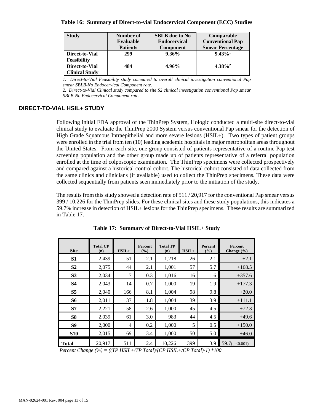### **Table 16: Summary of Direct-to-vial Endocervical Component (ECC) Studies**

| <b>Study</b>          | Number of       | <b>SBLB</b> due to No | Comparable              |
|-----------------------|-----------------|-----------------------|-------------------------|
|                       | Evaluable       | <b>Endocervical</b>   | <b>Conventional Pap</b> |
|                       | <b>Patients</b> | <b>Component</b>      | <b>Smear Percentage</b> |
| Direct-to-Vial        | 299             | $9.36\%$              | $9.43\%$ <sup>1</sup>   |
| <b>Feasibility</b>    |                 |                       |                         |
| Direct-to-Vial        | 484             | 4.96%                 | $4.38\%^{2}$            |
| <b>Clinical Study</b> |                 |                       |                         |

*1. Direct-to-Vial Feasibility study compared to overall clinical investigation conventional Pap smear SBLB-No Endocervical Component rate.* 

*2. Direct-to-Vial Clinical study compared to site S2 clinical investigation conventional Pap smear SBLB-No Endocervical Component rate.*

### **DIRECT-TO-VIAL HSIL+ STUDY**

Following initial FDA approval of the ThinPrep System, Hologic conducted a multi-site direct-to-vial clinical study to evaluate the ThinPrep 2000 System versus conventional Pap smear for the detection of High Grade Squamous Intraepithelial and more severe lesions (HSIL+). Two types of patient groups were enrolled in the trial from ten (10) leading academic hospitals in major metropolitan areas throughout the United States. From each site, one group consisted of patients representative of a routine Pap test screening population and the other group made up of patients representative of a referral population enrolled at the time of colposcopic examination. The ThinPrep specimens were collected prospectively and compared against a historical control cohort. The historical cohort consisted of data collected from the same clinics and clinicians (if available) used to collect the ThinPrep specimens. These data were collected sequentially from patients seen immediately prior to the initiation of the study.

The results from this study showed a detection rate of 511 / 20,917 for the conventional Pap smear versus 399 / 10,226 for the ThinPrep slides. For these clinical sites and these study populations, this indicates a 59.7% increase in detection of HSIL+ lesions for the ThinPrep specimens. These results are summarized in Table 17.

| <b>Site</b>                                                                                                                                                       | <b>Total CP</b><br>(n) | $HSIL+$        | Percent<br>(%) | <b>Total TP</b><br>(n) | $HSIL+$ | Percent<br>(%) | Percent<br>Change $(\% )$ |
|-------------------------------------------------------------------------------------------------------------------------------------------------------------------|------------------------|----------------|----------------|------------------------|---------|----------------|---------------------------|
| S <sub>1</sub>                                                                                                                                                    | 2,439                  | 51             | 2.1            | 1,218                  | 26      | 2.1            | $+2.1$                    |
| S <sub>2</sub>                                                                                                                                                    | 2,075                  | 44             | 2.1            | 1,001                  | 57      | 5.7            | $+168.5$                  |
| S <sub>3</sub>                                                                                                                                                    | 2,034                  | 7              | 0.3            | 1,016                  | 16      | 1.6            | $+357.6$                  |
| <b>S4</b>                                                                                                                                                         | 2,043                  | 14             | 0.7            | 1,000                  | 19      | 1.9            | $+177.3$                  |
| S <sub>5</sub>                                                                                                                                                    | 2,040                  | 166            | 8.1            | 1,004                  | 98      | 9.8            | $+20.0$                   |
| <b>S6</b>                                                                                                                                                         | 2,011                  | 37             | 1.8            | 1,004                  | 39      | 3.9            | $+111.1$                  |
| S7                                                                                                                                                                | 2,221                  | 58             | 2.6            | 1,000                  | 45      | 4.5            | $+72.3$                   |
| <b>S8</b>                                                                                                                                                         | 2,039                  | 61             | 3.0            | 983                    | 44      | 4.5            | $+49.6$                   |
| S <sub>9</sub>                                                                                                                                                    | 2,000                  | $\overline{4}$ | 0.2            | 1,000                  | 5       | 0.5            | $+150.0$                  |
| <b>S10</b>                                                                                                                                                        | 2,015                  | 69             | 3.4            | 1,000                  | 50      | 5.0            | $+46.0$                   |
| <b>Total</b><br>$D_{\text{max}}$ $C_{\text{max}}$ $C_{\text{max}}$ (0/) ((TD HCH) $T_{\text{min}}$ $T_{\text{max}}$ ) ((CD HCH) (CD $T_{\text{max}}$ )) 1) $*100$ | 20,917                 | 511            | 2.4            | 10,226                 | 399     | 3.9            | 59.7(p<0.001)             |

**Table 17: Summary of Direct-to-Vial HSIL+ Study** 

*Percent Change (%) = ((TP HSIL+/TP Total)/(CP HSIL+/CP Total)-1) \*100*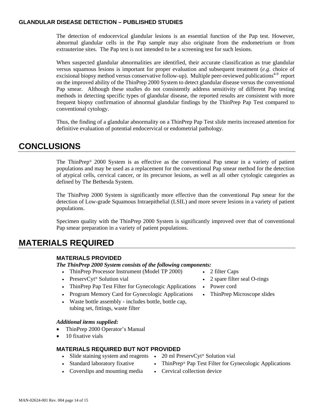### **GLANDULAR DISEASE DETECTION – PUBLISHED STUDIES**

The detection of endocervical glandular lesions is an essential function of the Pap test. However, abnormal glandular cells in the Pap sample may also originate from the endometrium or from extrauterine sites. The Pap test is not intended to be a screening test for such lesions.

When suspected glandular abnormalities are identified, their accurate classification as true glandular versus squamous lesions is important for proper evaluation and subsequent treatment (*e.g*. choice of excisional biopsy method versus conservative follow-up). Multiple peer-reviewed publications<sup>4-9</sup> report on the improved ability of the ThinPrep 2000 System to detect glandular disease versus the conventional Pap smear. Although these studies do not consistently address sensitivity of different Pap testing methods in detecting specific types of glandular disease, the reported results are consistent with more frequent biopsy confirmation of abnormal glandular findings by the ThinPrep Pap Test compared to conventional cytology.

Thus, the finding of a glandular abnormality on a ThinPrep Pap Test slide merits increased attention for definitive evaluation of potential endocervical or endometrial pathology.

### **CONCLUSIONS**

The ThinPrep® 2000 System is as effective as the conventional Pap smear in a variety of patient populations and may be used as a replacement for the conventional Pap smear method for the detection of atypical cells, cervical cancer, or its precursor lesions, as well as all other cytologic categories as defined by The Bethesda System.

The ThinPrep 2000 System is significantly more effective than the conventional Pap smear for the detection of Low-grade Squamous Intraepithelial (LSIL) and more severe lesions in a variety of patient populations.

Specimen quality with the ThinPrep 2000 System is significantly improved over that of conventional Pap smear preparation in a variety of patient populations.

### **MATERIALS REQUIRED**

### **MATERIALS PROVIDED**

*The ThinPrep 2000 System consists of the following components:* 

- ThinPrep Processor Instrument (Model TP 2000) 2 filter Caps
- PreservCyt® Solution vial **2** spare filter seal O-rings
- ThinPrep Pap Test Filter for Gynecologic Applications Power cord
- Program Memory Card for Gynecologic Applications ThinPrep Microscope slides
- Waste bottle assembly includes bottle, bottle cap, tubing set, fittings, waste filter

### *Additional items supplied:*

- ThinPrep 2000 Operator's Manual
- 10 fixative vials

### **MATERIALS REQUIRED BUT NOT PROVIDED**

- Slide staining system and reagents 20 ml PreservCyt<sup>®</sup> Solution vial
- Standard laboratory fixative ThinPrep® Pap Test Filter for Gynecologic Applications
- Coverslips and mounting media Cervical collection device
- 
- 
- 
-